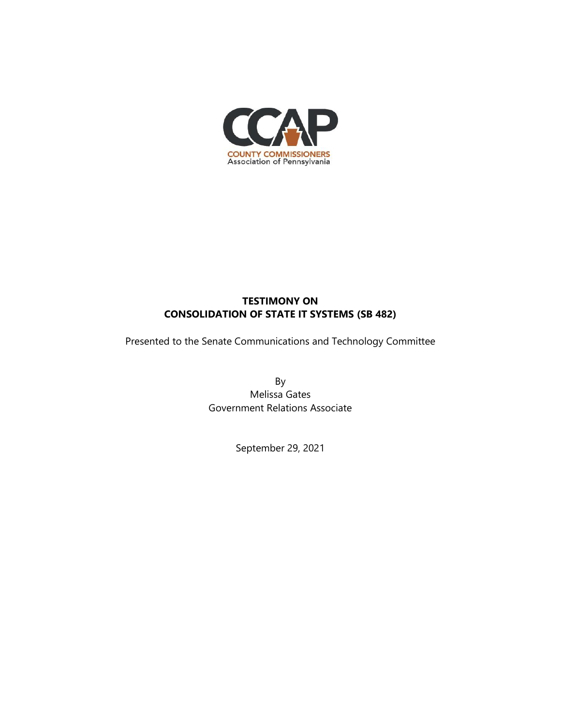

## **TESTIMONY ON CONSOLIDATION OF STATE IT SYSTEMS (SB 482)**

Presented to the Senate Communications and Technology Committee

By Melissa Gates Government Relations Associate

September 29, 2021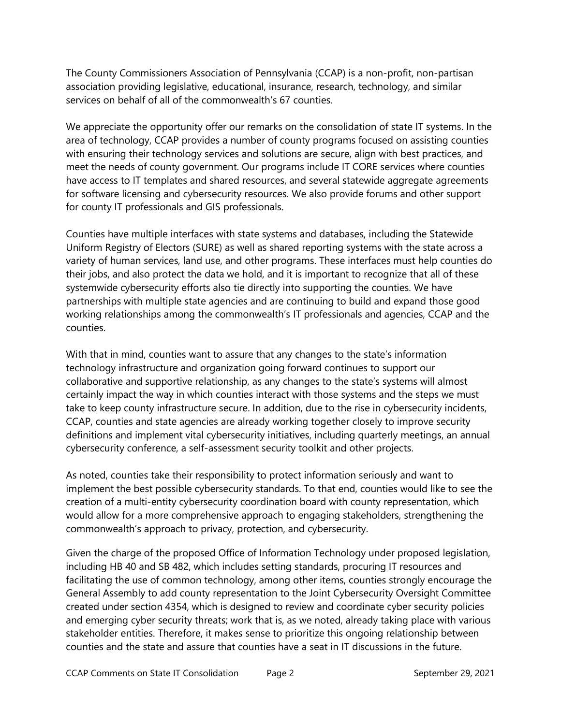The County Commissioners Association of Pennsylvania (CCAP) is a non-profit, non-partisan association providing legislative, educational, insurance, research, technology, and similar services on behalf of all of the commonwealth's 67 counties.

We appreciate the opportunity offer our remarks on the consolidation of state IT systems. In the area of technology, CCAP provides a number of county programs focused on assisting counties with ensuring their technology services and solutions are secure, align with best practices, and meet the needs of county government. Our programs include IT CORE services where counties have access to IT templates and shared resources, and several statewide aggregate agreements for software licensing and cybersecurity resources. We also provide forums and other support for county IT professionals and GIS professionals.

Counties have multiple interfaces with state systems and databases, including the Statewide Uniform Registry of Electors (SURE) as well as shared reporting systems with the state across a variety of human services, land use, and other programs. These interfaces must help counties do their jobs, and also protect the data we hold, and it is important to recognize that all of these systemwide cybersecurity efforts also tie directly into supporting the counties. We have partnerships with multiple state agencies and are continuing to build and expand those good working relationships among the commonwealth's IT professionals and agencies, CCAP and the counties.

With that in mind, counties want to assure that any changes to the state's information technology infrastructure and organization going forward continues to support our collaborative and supportive relationship, as any changes to the state's systems will almost certainly impact the way in which counties interact with those systems and the steps we must take to keep county infrastructure secure. In addition, due to the rise in cybersecurity incidents, CCAP, counties and state agencies are already working together closely to improve security definitions and implement vital cybersecurity initiatives, including quarterly meetings, an annual cybersecurity conference, a self-assessment security toolkit and other projects.

As noted, counties take their responsibility to protect information seriously and want to implement the best possible cybersecurity standards. To that end, counties would like to see the creation of a multi-entity cybersecurity coordination board with county representation, which would allow for a more comprehensive approach to engaging stakeholders, strengthening the commonwealth's approach to privacy, protection, and cybersecurity.

Given the charge of the proposed Office of Information Technology under proposed legislation, including HB 40 and SB 482, which includes setting standards, procuring IT resources and facilitating the use of common technology, among other items, counties strongly encourage the General Assembly to add county representation to the Joint Cybersecurity Oversight Committee created under section 4354, which is designed to review and coordinate cyber security policies and emerging cyber security threats; work that is, as we noted, already taking place with various stakeholder entities. Therefore, it makes sense to prioritize this ongoing relationship between counties and the state and assure that counties have a seat in IT discussions in the future.